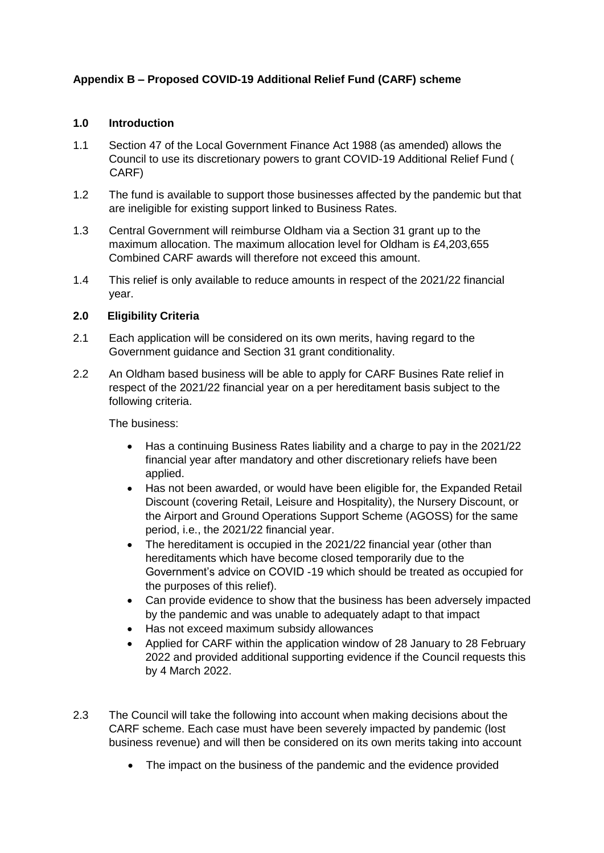# **Appendix B – Proposed COVID-19 Additional Relief Fund (CARF) scheme**

### **1.0 Introduction**

- 1.1 Section 47 of the Local Government Finance Act 1988 (as amended) allows the Council to use its discretionary powers to grant COVID-19 Additional Relief Fund ( CARF)
- 1.2 The fund is available to support those businesses affected by the pandemic but that are ineligible for existing support linked to Business Rates.
- 1.3 Central Government will reimburse Oldham via a Section 31 grant up to the maximum allocation. The maximum allocation level for Oldham is £4,203,655 Combined CARF awards will therefore not exceed this amount.
- 1.4 This relief is only available to reduce amounts in respect of the 2021/22 financial year.

#### **2.0 Eligibility Criteria**

- 2.1 Each application will be considered on its own merits, having regard to the Government guidance and Section 31 grant conditionality.
- 2.2 An Oldham based business will be able to apply for CARF Busines Rate relief in respect of the 2021/22 financial year on a per hereditament basis subject to the following criteria.

The business:

- Has a continuing Business Rates liability and a charge to pay in the 2021/22 financial year after mandatory and other discretionary reliefs have been applied.
- Has not been awarded, or would have been eligible for, the Expanded Retail Discount (covering Retail, Leisure and Hospitality), the Nursery Discount, or the Airport and Ground Operations Support Scheme (AGOSS) for the same period, i.e., the 2021/22 financial year.
- The hereditament is occupied in the 2021/22 financial year (other than hereditaments which have become closed temporarily due to the Government's advice on COVID -19 which should be treated as occupied for the purposes of this relief).
- Can provide evidence to show that the business has been adversely impacted by the pandemic and was unable to adequately adapt to that impact
- Has not exceed maximum subsidy allowances
- Applied for CARF within the application window of 28 January to 28 February 2022 and provided additional supporting evidence if the Council requests this by 4 March 2022.
- 2.3 The Council will take the following into account when making decisions about the CARF scheme. Each case must have been severely impacted by pandemic (lost business revenue) and will then be considered on its own merits taking into account
	- The impact on the business of the pandemic and the evidence provided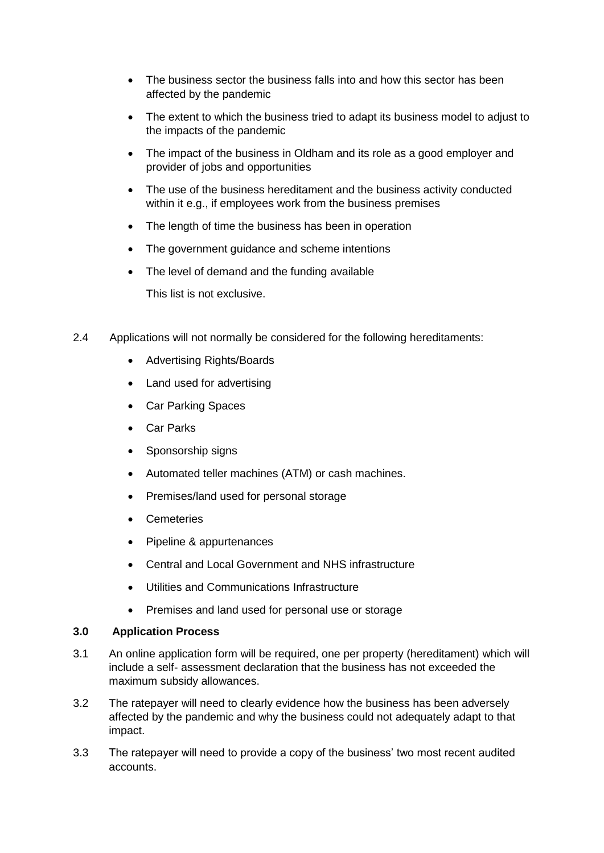- The business sector the business falls into and how this sector has been affected by the pandemic
- The extent to which the business tried to adapt its business model to adjust to the impacts of the pandemic
- The impact of the business in Oldham and its role as a good employer and provider of jobs and opportunities
- The use of the business hereditament and the business activity conducted within it e.g., if employees work from the business premises
- The length of time the business has been in operation
- The government guidance and scheme intentions
- The level of demand and the funding available This list is not exclusive.
- 2.4 Applications will not normally be considered for the following hereditaments:
	- Advertising Rights/Boards
	- Land used for advertising
	- Car Parking Spaces
	- Car Parks
	- Sponsorship signs
	- Automated teller machines (ATM) or cash machines.
	- Premises/land used for personal storage
	- Cemeteries
	- Pipeline & appurtenances
	- Central and Local Government and NHS infrastructure
	- Utilities and Communications Infrastructure
	- Premises and land used for personal use or storage

#### **3.0 Application Process**

- 3.1 An online application form will be required, one per property (hereditament) which will include a self- assessment declaration that the business has not exceeded the maximum subsidy allowances.
- 3.2 The ratepayer will need to clearly evidence how the business has been adversely affected by the pandemic and why the business could not adequately adapt to that impact.
- 3.3 The ratepayer will need to provide a copy of the business' two most recent audited accounts.